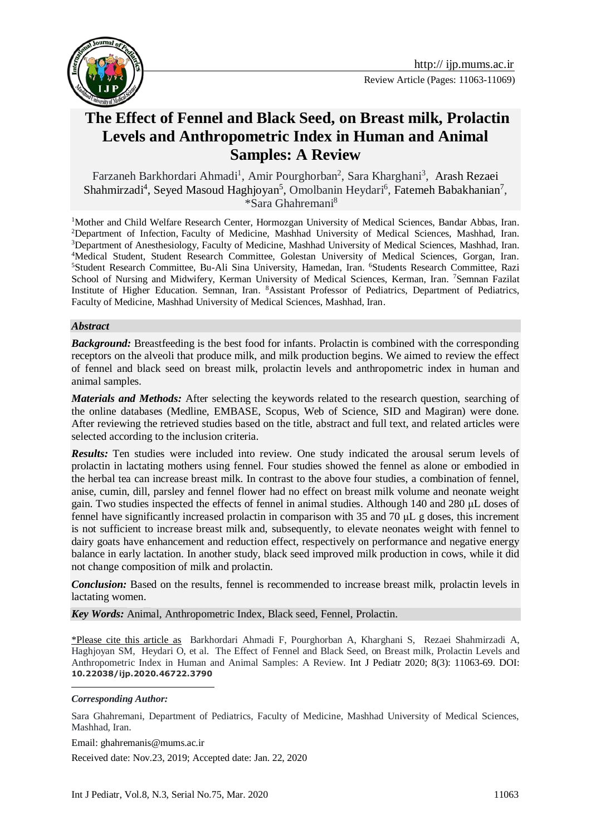



# **[The Effect of Fennel and Black Seed, on Breast milk,](https://www.liebertpub.com/doi/abs/10.1089/bfm.2017.0038) Prolactin [Levels and Anthropometric Index in Human and Animal](https://www.liebertpub.com/doi/abs/10.1089/bfm.2017.0038)  [Samples: A Review](https://www.liebertpub.com/doi/abs/10.1089/bfm.2017.0038)**

[Farzaneh Barkhordari Ahmadi](http://ijp.mums.ac.ir/?_action=article&au=154848&_au=Farzaneh++Barkhordari+Ahmadi)<sup>1</sup>, Amir Pourghorban<sup>2</sup>, Sara Kharghani<sup>3</sup>, Arash Rezaei Shahmirzadi<sup>4</sup>, Seyed Masoud Haghjoyan<sup>5</sup>, [Omolbanin Heydari](http://ijp.mums.ac.ir/?_action=article&au=159452&_au=Omolbanin++Heydari)<sup>[6](http://ijp.mums.ac.ir/?_action=article&au=159452&_au=Omolbanin++Heydari)</sup>, Fatemeh Babakhanian<sup>7</sup>,  $*Sara Ghahremani<sup>8</sup>$ 

<sup>1</sup>Mother and Child Welfare Research Center, Hormozgan University of Medical Sciences, Bandar Abbas, Iran. <sup>2</sup>Department of Infection, Faculty of Medicine, Mashhad University of Medical Sciences, Mashhad, Iran. <sup>3</sup>Department of Anesthesiology, Faculty of Medicine, Mashhad University of Medical Sciences, Mashhad, Iran. <sup>4</sup>Medical Student, Student Research Committee, Golestan University of Medical Sciences, Gorgan, Iran. <sup>5</sup>Student Research Committee, Bu-Ali Sina University, Hamedan, Iran. <sup>6</sup>Students Research Committee, Razi School of Nursing and Midwifery, Kerman University of Medical Sciences, Kerman, Iran. <sup>7</sup>Semnan Fazilat Institute of Higher Education. Semnan, Iran. <sup>8</sup>Assistant Professor of Pediatrics, Department of Pediatrics, Faculty of Medicine, Mashhad University of Medical Sciences, Mashhad, Iran.

#### *Abstract*

**Background:** Breastfeeding is the best food for infants. Prolactin is combined with the corresponding receptors on the alveoli that produce milk, and milk production begins. We aimed to review [the effect](https://www.liebertpub.com/doi/abs/10.1089/bfm.2017.0038) of fennel [and black seed](https://www.liebertpub.com/doi/abs/10.1089/bfm.2017.0038) on breast milk, prolactin levels and anthropometric index in human and animal samples.

*Materials and Methods:* After selecting the keywords related to the research question, searching of the online databases (Medline, EMBASE, Scopus, Web of Science, SID and Magiran) were done. After reviewing the retrieved studies based on the title, abstract and full text, and related articles were selected according to the inclusion criteria.

*Results:* Ten studies were included into review. One study indicated the arousal serum levels of prolactin in lactating mothers using fennel. Four studies showed the fennel as alone or embodied in the herbal tea can increase breast milk. In contrast to the above four studies, a combination of fennel, anise, cumin, dill, parsley and fennel flower had no effect on breast milk volume and neonate weight gain. Two studies inspected the effects of fennel in animal studies. Although 140 and 280 μL doses of fennel have significantly increased prolactin in comparison with 35 and 70 μL g doses, this increment is not sufficient to increase breast milk and, subsequently, to elevate neonates weight with fennel to dairy goats have enhancement and reduction effect, respectively on performance and negative energy balance in early lactation. In another study, black seed improved milk production in cows, while it did not change composition of milk and prolactin.

*Conclusion:* Based on the results, fennel is recommended to increase breast milk, prolactin levels in lactating women.

*Key Words:* Animal, Anthropometric Index, Black seed, Fennel, Prolactin.

\*Please cite this article as [Barkhordari Ahmadi](http://ijp.mums.ac.ir/?_action=article&au=154848&_au=Farzaneh++Barkhordari+Ahmadi) F, Pourghorban A, Kharghani S, Rezaei Shahmirzadi A, Haghjoyan SM, [Heydari](http://ijp.mums.ac.ir/?_action=article&au=159452&_au=Omolbanin++Heydari) O, et al. [The Effect of Fennel and Black Seed, on Breast milk,](https://www.liebertpub.com/doi/abs/10.1089/bfm.2017.0038) Prolactin Levels and [Anthropometric Index in Human and Animal Samples: A Review.](https://www.liebertpub.com/doi/abs/10.1089/bfm.2017.0038) Int J Pediatr 2020; 8(3): 11063-69. DOI: **10.22038/ijp.2020.46722.3790**

*Corresponding Author:* 

<u>.</u>

Sara Ghahremani, Department of Pediatrics, Faculty of Medicine, Mashhad University of Medical Sciences, Mashhad, Iran.

Email: ghahremanis@mums.ac.ir

Received date: Nov.23, 2019; Accepted date: Jan. 22, 2020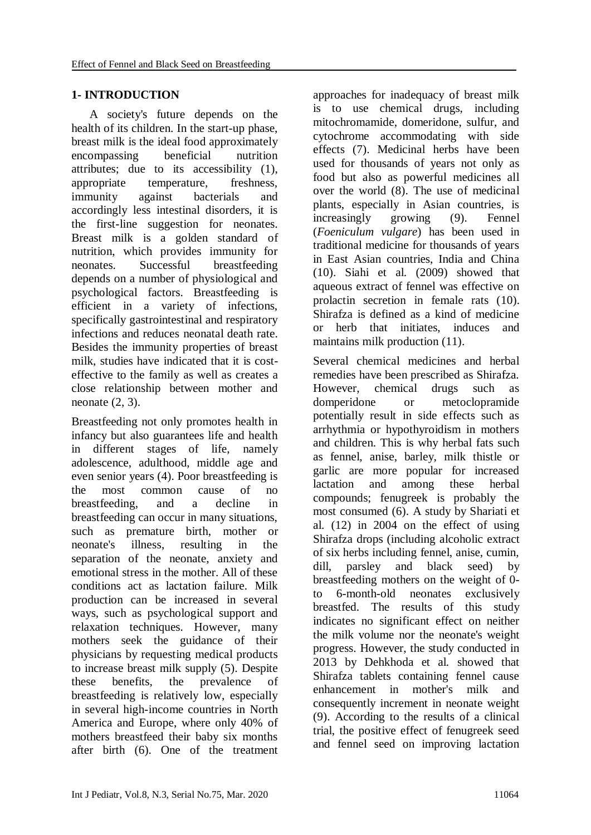# **1- INTRODUCTION**

 A society's future depends on the health of its children. In the start-up phase, breast milk is the ideal food approximately encompassing beneficial nutrition attributes; due to its accessibility (1), appropriate temperature, freshness, immunity against bacterials and accordingly less intestinal disorders, it is the first-line suggestion for neonates. Breast milk is a golden standard of nutrition, which provides immunity for neonates. Successful breastfeeding depends on a number of physiological and psychological factors. Breastfeeding is efficient in a variety of infections, specifically gastrointestinal and respiratory infections and reduces neonatal death rate. Besides the immunity properties of breast milk, studies have indicated that it is costeffective to the family as well as creates a close relationship between mother and neonate (2, 3).

Breastfeeding not only promotes health in infancy but also guarantees life and health in different stages of life, namely adolescence, adulthood, middle age and even senior years (4). Poor breastfeeding is the most common cause of no breastfeeding, and a decline in breastfeeding can occur in many situations, such as premature birth, mother or neonate's illness, resulting in the separation of the neonate, anxiety and emotional stress in the mother. All of these conditions act as lactation failure. Milk production can be increased in several ways, such as psychological support and relaxation techniques. However, many mothers seek the guidance of their physicians by requesting medical products to increase breast milk supply (5). Despite these benefits, the prevalence of breastfeeding is relatively low, especially in several high-income countries in North America and Europe, where only 40% of mothers breastfeed their baby six months after birth (6). One of the treatment

approaches for inadequacy of breast milk is to use chemical drugs, including mitochromamide, domeridone, sulfur, and cytochrome accommodating with side effects (7). Medicinal herbs have been used for thousands of years not only as food but also as powerful medicines all over the world (8). The use of medicinal plants, especially in Asian countries, is increasingly growing (9). Fennel (*Foeniculum vulgare*) has been used in traditional medicine for thousands of years in East Asian countries, India and China (10). Siahi et al. (2009) showed that aqueous extract of fennel was effective on prolactin secretion in female rats (10). Shirafza is defined as a kind of medicine or herb that initiates, induces and maintains milk production (11).

Several chemical medicines and herbal remedies have been prescribed as Shirafza. However, chemical drugs such as domperidone or metoclopramide potentially result in side effects such as arrhythmia or hypothyroidism in mothers and children. This is why herbal fats such as fennel, anise, barley, milk thistle or garlic are more popular for increased lactation and among these herbal compounds; fenugreek is probably the most consumed (6). A study by Shariati et al. (12) in 2004 on the effect of using Shirafza drops (including alcoholic extract of six herbs including fennel, anise, cumin, dill, parsley and black seed) by breastfeeding mothers on the weight of 0 to 6-month-old neonates exclusively breastfed. The results of this study indicates no significant effect on neither the milk volume nor the neonate's weight progress. However, the study conducted in 2013 by Dehkhoda et al. showed that Shirafza tablets containing fennel cause enhancement in mother's milk and consequently increment in neonate weight (9). According to the results of a clinical trial, the positive effect of fenugreek seed and fennel seed on improving lactation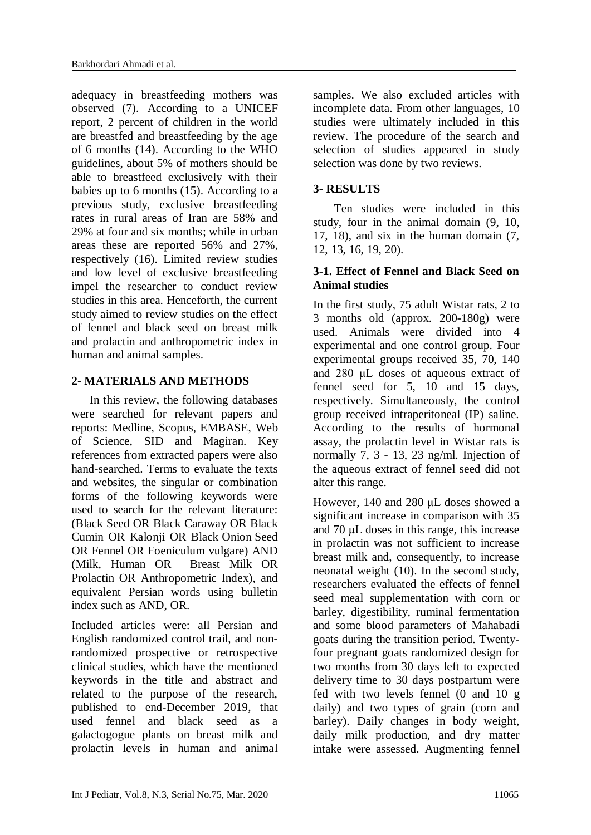adequacy in breastfeeding mothers was observed (7). According to a UNICEF report, 2 percent of children in the world are breastfed and breastfeeding by the age of 6 months (14). According to the WHO guidelines, about 5% of mothers should be able to breastfeed exclusively with their babies up to 6 months (15). According to a previous study, exclusive breastfeeding rates in rural areas of Iran are 58% and 29% at four and six months; while in urban areas these are reported 56% and 27%, respectively (16). Limited review studies and low level of exclusive breastfeeding impel the researcher to conduct review studies in this area. Henceforth, the current study aimed to review studies on the effect of fennel and black seed on breast milk and prolactin and anthropometric index in human and animal samples.

# **2- MATERIALS AND METHODS**

 In this review, the following databases were searched for relevant papers and reports: Medline, Scopus, EMBASE, Web of Science, SID and Magiran. Key references from extracted papers were also hand-searched. Terms to evaluate the texts and websites, the singular or combination forms of the following keywords were used to search for the relevant literature: (Black Seed OR Black Caraway OR Black Cumin OR Kalonji OR Black [Onion](https://www.medicalnewstoday.com/articles/276714.php) Seed OR Fennel OR Foeniculum vulgare) AND (Milk, Human OR Breast Milk OR Prolactin OR Anthropometric Index), and equivalent Persian words using bulletin index such as AND, OR.

Included articles were: all Persian and English randomized control trail, and nonrandomized prospective or retrospective clinical studies, which have the mentioned keywords in the title and abstract and related to the purpose of the research, published to end-December 2019, that used fennel and black seed as a galactogogue plants on breast milk and prolactin levels in human and animal samples. We also excluded articles with incomplete data. From other languages, 10 studies were ultimately included in this review. The procedure of the search and selection of studies appeared in study selection was done by two reviews.

# **3- RESULTS**

 Ten studies were included in this study, four in the animal domain (9, 10, 17, 18), and six in the human domain (7, 12, 13, 16, 19, 20).

#### **3-1. Effect of Fennel and Black Seed on Animal studies**

In the first study, 75 adult Wistar rats, 2 to 3 months old (approx. 200-180g) were used. Animals were divided into 4 experimental and one control group. Four experimental groups received 35, 70, 140 and 280 μL doses of aqueous extract of fennel seed for 5, 10 and 15 days, respectively. Simultaneously, the control group received intraperitoneal (IP) saline. According to the results of hormonal assay, the prolactin level in Wistar rats is normally 7, 3 - 13, 23 ng/ml. Injection of the aqueous extract of fennel seed did not alter this range.

However, 140 and 280 μL doses showed a significant increase in comparison with 35 and 70 μL doses in this range, this increase in prolactin was not sufficient to increase breast milk and, consequently, to increase neonatal weight (10). In the second study, researchers evaluated the effects of fennel seed meal supplementation with corn or barley, digestibility, ruminal fermentation and some blood parameters of Mahabadi goats during the transition period. Twentyfour pregnant goats randomized design for two months from 30 days left to expected delivery time to 30 days postpartum were fed with two levels fennel (0 and 10 g daily) and two types of grain (corn and barley). Daily changes in body weight, daily milk production, and dry matter intake were assessed. Augmenting fennel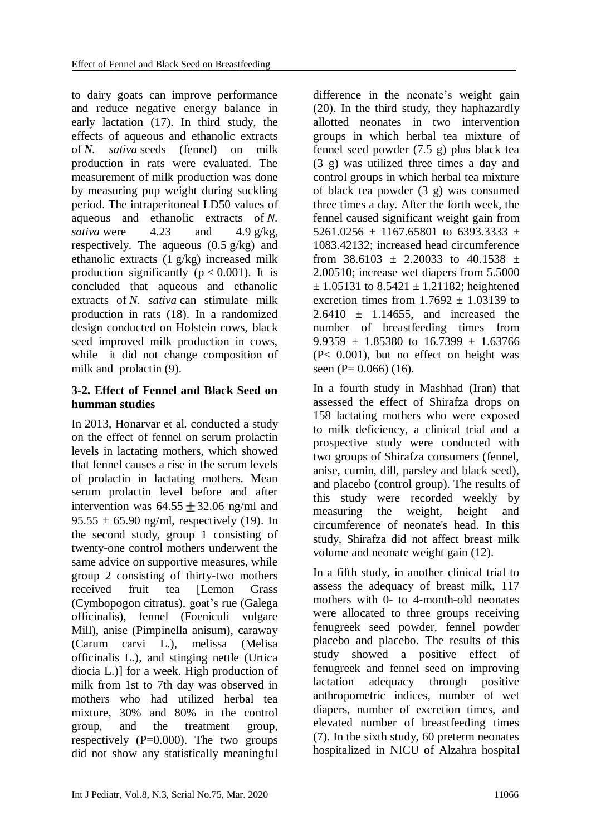to dairy goats can improve performance and reduce negative energy balance in early lactation (17). In third study, the effects of aqueous and ethanolic extracts of *N. sativa* seeds (fennel) on milk production in rats were evaluated. The measurement of milk production was done by measuring pup weight during suckling period. The intraperitoneal LD50 values of aqueous and ethanolic extracts of *N. sativa* were  $4.23$  and  $4.9 \text{ g/kg}$ , respectively. The aqueous  $(0.5 \text{ g/kg})$  and ethanolic extracts (1 g/kg) increased milk production significantly ( $p < 0.001$ ). It is concluded that aqueous and ethanolic extracts of *N. sativa* can stimulate milk production in rats (18). In a randomized design conducted on Holstein cows, black seed improved milk production in cows, while it did not change composition of milk and prolactin (9).

# **3-2. Effect of Fennel and Black Seed on humman studies**

In 2013, Honarvar et al. conducted a study on the effect of fennel on serum prolactin levels in lactating mothers, which showed that fennel causes a rise in the serum levels of prolactin in lactating mothers. Mean serum prolactin level before and after intervention was  $64.55 + 32.06$  ng/ml and 95.55  $\pm$  65.90 ng/ml, respectively (19). In the second study, group 1 consisting of twenty-one control mothers underwent the same advice on supportive measures, while group 2 consisting of thirty-two mothers received fruit tea [Lemon Grass (Cymbopogon citratus), goat's rue (Galega officinalis), fennel (Foeniculi vulgare Mill), anise (Pimpinella anisum), caraway (Carum carvi L.), melissa (Melisa officinalis L.), and stinging nettle (Urtica diocia L.)] for a week. High production of milk from 1st to 7th day was observed in mothers who had utilized herbal tea mixture, 30% and 80% in the control group, and the treatment group, respectively  $(P=0.000)$ . The two groups did not show any statistically meaningful

difference in the neonate's weight gain (20). In the third study, they haphazardly allotted neonates in two intervention groups in which herbal tea mixture of fennel seed powder (7.5 g) plus black tea (3 g) was utilized three times a day and control groups in which herbal tea mixture of black tea powder (3 g) was consumed three times a day. After the forth week, the fennel caused significant weight gain from 5261.0256  $\pm$  1167.65801 to 6393.3333  $\pm$ 1083.42132; increased head circumference from  $38.6103 \pm 2.20033$  to  $40.1538 \pm 1.6033$ 2.00510; increase wet diapers from 5.5000  $\pm$  1.05131 to 8.5421  $\pm$  1.21182; heightened excretion times from  $1.7692 \pm 1.03139$  to  $2.6410 \pm 1.14655$ , and increased the number of breastfeeding times from 9.9359  $\pm$  1.85380 to 16.7399  $\pm$  1.63766 (P< 0.001), but no effect on height was seen (P=  $0.066$ ) (16).

In a fourth study in Mashhad (Iran) that assessed the effect of Shirafza drops on 158 lactating mothers who were exposed to milk deficiency, a clinical trial and a prospective study were conducted with two groups of Shirafza consumers (fennel, anise, cumin, dill, parsley and black seed), and placebo (control group). The results of this study were recorded weekly by measuring the weight, height and circumference of neonate's head. In this study, Shirafza did not affect breast milk volume and neonate weight gain (12).

In a fifth study, in another clinical trial to assess the adequacy of breast milk, 117 mothers with 0- to 4-month-old neonates were allocated to three groups receiving fenugreek seed powder, fennel powder placebo and placebo. The results of this study showed a positive effect of fenugreek and fennel seed on improving lactation adequacy through positive anthropometric indices, number of wet diapers, number of excretion times, and elevated number of breastfeeding times (7). In the sixth study, 60 preterm neonates hospitalized in NICU of Alzahra hospital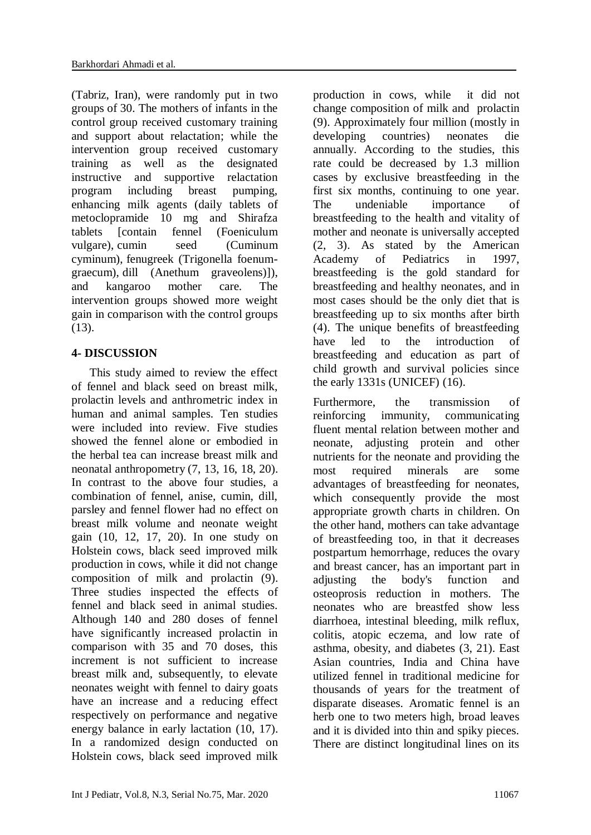(Tabriz, Iran), were randomly put in two groups of 30. The mothers of infants in the control group received customary training and support about relactation; while the intervention group received customary training as well as the designated instructive and supportive relactation program including breast pumping, enhancing milk agents (daily tablets of metoclopramide 10 mg and Shirafza tablets [contain fennel (Foeniculum vulgare), cumin seed (Cuminum cyminum), fenugreek (Trigonella foenumgraecum), dill (Anethum graveolens)]), and kangaroo mother care. The intervention groups showed more weight gain in comparison with the control groups (13).

# **4- DISCUSSION**

 This study aimed to review the effect of fennel and black seed on breast milk, prolactin levels and anthrometric index in human and animal samples. Ten studies were included into review. Five studies showed the fennel alone or embodied in the herbal tea can increase breast milk and neonatal anthropometry (7, 13, 16, 18, 20). In contrast to the above four studies, a combination of fennel, anise, cumin, dill, parsley and fennel flower had no effect on breast milk volume and neonate weight gain (10, 12, 17, 20). In one study on Holstein cows, black seed improved milk production in cows, while it did not change composition of milk and prolactin (9). Three studies inspected the effects of fennel and black seed in animal studies. Although 140 and 280 doses of fennel have significantly increased prolactin in comparison with 35 and 70 doses, this increment is not sufficient to increase breast milk and, subsequently, to elevate neonates weight with fennel to dairy goats have an increase and a reducing effect respectively on performance and negative energy balance in early lactation (10, 17). In a randomized design conducted on Holstein cows, black seed improved milk

production in cows, while it did not change composition of milk and prolactin (9). Approximately four million (mostly in developing countries) neonates die annually. According to the studies, this rate could be decreased by 1.3 million cases by exclusive breastfeeding in the first six months, continuing to one year. The undeniable importance of breastfeeding to the health and vitality of mother and neonate is universally accepted (2, 3). As stated by the American Academy of Pediatrics in 1997, breastfeeding is the gold standard for breastfeeding and healthy neonates, and in most cases should be the only diet that is breastfeeding up to six months after birth (4). The unique benefits of breastfeeding have led to the introduction of breastfeeding and education as part of child growth and survival policies since the early 1331s (UNICEF) (16).

Furthermore, the transmission of reinforcing immunity, communicating fluent mental relation between mother and neonate, adjusting protein and other nutrients for the neonate and providing the most required minerals are some advantages of breastfeeding for neonates, which consequently provide the most appropriate growth charts in children. On the other hand, mothers can take advantage of breastfeeding too, in that it decreases postpartum hemorrhage, reduces the ovary and breast cancer, has an important part in adjusting the body's function and osteoprosis reduction in mothers. The neonates who are breastfed show less diarrhoea, intestinal bleeding, milk reflux, colitis, atopic eczema, and low rate of asthma, obesity, and diabetes (3, 21). East Asian countries, India and China have utilized fennel in traditional medicine for thousands of years for the treatment of disparate diseases. Aromatic fennel is an herb one to two meters high, broad leaves and it is divided into thin and spiky pieces. There are distinct longitudinal lines on its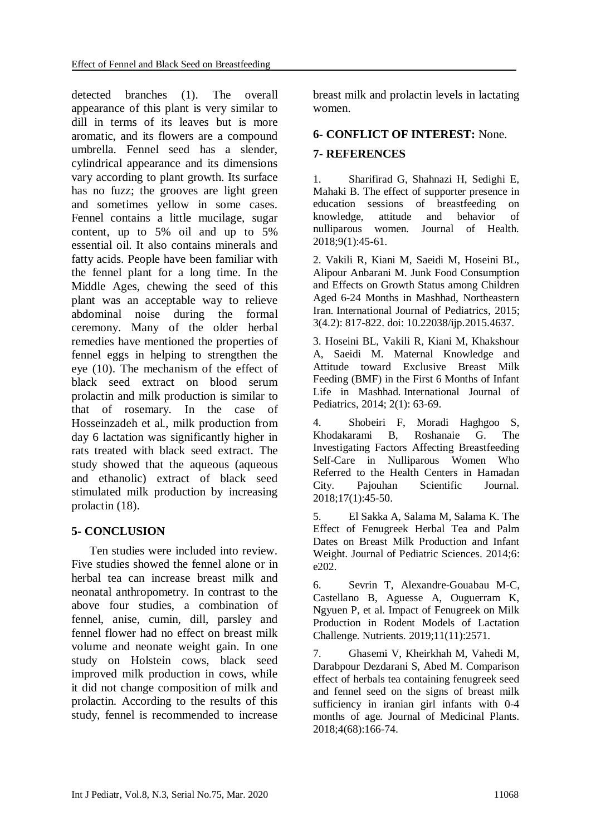detected branches (1). The overall appearance of this plant is very similar to dill in terms of its leaves but is more aromatic, and its flowers are a compound umbrella. Fennel seed has a slender, cylindrical appearance and its dimensions vary according to plant growth. Its surface has no fuzz; the grooves are light green and sometimes yellow in some cases. Fennel contains a little mucilage, sugar content, up to 5% oil and up to 5% essential oil. It also contains minerals and fatty acids. People have been familiar with the fennel plant for a long time. In the Middle Ages, chewing the seed of this plant was an acceptable way to relieve abdominal noise during the formal ceremony. Many of the older herbal remedies have mentioned the properties of fennel eggs in helping to strengthen the eye (10). The mechanism of the effect of black seed extract on blood serum prolactin and milk production is similar to that of rosemary. In the case of Hosseinzadeh et al., milk production from day 6 lactation was significantly higher in rats treated with black seed extract. The study showed that the aqueous (aqueous and ethanolic) extract of black seed stimulated milk production by increasing prolactin (18).

#### **5- CONCLUSION**

 Ten studies were included into review. Five studies showed the fennel alone or in herbal tea can increase breast milk and neonatal anthropometry. In contrast to the above four studies, a combination of fennel, anise, cumin, dill, parsley and fennel flower had no effect on breast milk volume and neonate weight gain. In one study on Holstein cows, black seed improved milk production in cows, while it did not change composition of milk and prolactin. According to the results of this study, fennel is recommended to increase

breast milk and prolactin levels in lactating women.

#### **6- CONFLICT OF INTEREST:** None.

#### **7- REFERENCES**

1. Sharifirad G, Shahnazi H, Sedighi E, Mahaki B. The effect of supporter presence in education sessions of breastfeeding on knowledge, attitude and behavior of nulliparous women. Journal of Health. 2018;9(1):45-61.

2. Vakili R, Kiani M, Saeidi M, Hoseini BL, Alipour Anbarani M. Junk Food Consumption and Effects on Growth Status among Children Aged 6-24 Months in Mashhad, Northeastern Iran. International Journal of Pediatrics, 2015; 3(4.2): 817-822. doi: 10.22038/ijp.2015.4637.

3. Hoseini BL, Vakili R, Kiani M, Khakshour A, Saeidi M. Maternal Knowledge and Attitude toward Exclusive Breast Milk Feeding (BMF) in the First 6 Months of Infant Life in Mashhad. International Journal of Pediatrics, 2014; 2(1): 63-69.

4. Shobeiri F, Moradi Haghgoo S, Khodakarami B, Roshanaie G. The Investigating Factors Affecting Breastfeeding Self-Care in Nulliparous Women Who Referred to the Health Centers in Hamadan City. Pajouhan Scientific Journal. 2018;17(1):45-50.

5. El Sakka A, Salama M, Salama K. The Effect of Fenugreek Herbal Tea and Palm Dates on Breast Milk Production and Infant Weight. Journal of Pediatric Sciences. 2014;6: e202.

6. Sevrin T, Alexandre-Gouabau M-C, Castellano B, Aguesse A, Ouguerram K, Ngyuen P, et al. Impact of Fenugreek on Milk Production in Rodent Models of Lactation Challenge. Nutrients. 2019;11(11):2571.

7. Ghasemi V, Kheirkhah M, Vahedi M, Darabpour Dezdarani S, Abed M. Comparison effect of herbals tea containing fenugreek seed and fennel seed on the signs of breast milk sufficiency in iranian girl infants with 0-4 months of age. Journal of Medicinal Plants. 2018;4(68):166-74.